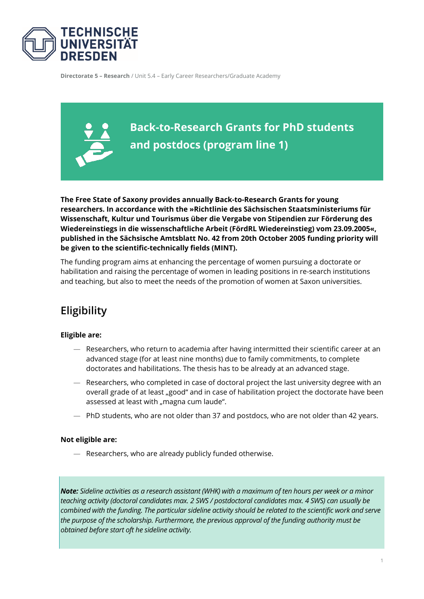

**Directorate 5 – Research** / Unit 5.4 – Early Career Researchers/Graduate Academy

**Back-to-Research Grants for PhD students and postdocs (program line 1)**

**The Free State of Saxony provides annually Back-to-Research Grants for young researchers. In accordance with the »Richtlinie des Sächsischen Staatsministeriums für Wissenschaft, Kultur und Tourismus über die Vergabe von Stipendien zur Förderung des Wiedereinstiegs in die wissenschaftliche Arbeit (FördRL Wiedereinstieg) vom 23.09.2005«, published in the Sächsische Amtsblatt No. 42 from 20th October 2005 funding priority will be given to the scientific-technically fields (MINT).** 

The funding program aims at enhancing the percentage of women pursuing a doctorate or habilitation and raising the percentage of women in leading positions in re-search institutions and teaching, but also to meet the needs of the promotion of women at Saxon universities.

# **Eligibility**

### **Eligible are:**

- Researchers, who return to academia after having intermitted their scientific career at an advanced stage (for at least nine months) due to family commitments, to complete doctorates and habilitations. The thesis has to be already at an advanced stage.
- Researchers, who completed in case of doctoral project the last university degree with an overall grade of at least "good" and in case of habilitation project the doctorate have been assessed at least with "magna cum laude".
- PhD students, who are not older than 37 and postdocs, who are not older than 42 years.

### **Not eligible are:**

— Researchers, who are already publicly funded otherwise.

*Note: Sideline activities as a research assistant (WHK) with a maximum of ten hours per week or a minor teaching activity (doctoral candidates max. 2 SWS / postdoctoral candidates max. 4 SWS) can usually be combined with the funding. The particular sideline activity should be related to the scientific work and serve the purpose of the scholarship. Furthermore, the previous approval of the funding authority must be obtained before start oft he sideline activity.*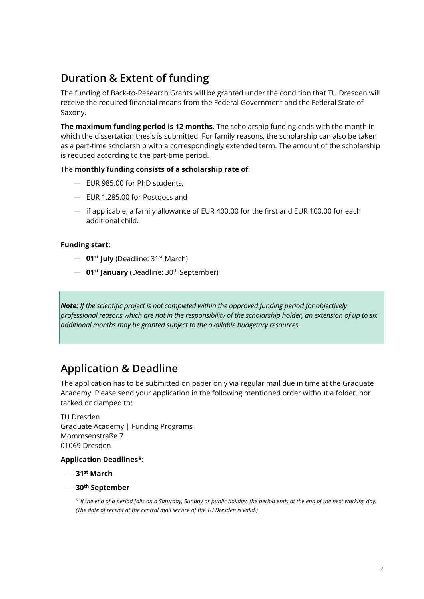## **Duration & Extent of funding**

The funding of Back-to-Research Grants will be granted under the condition that TU Dresden will receive the required financial means from the Federal Government and the Federal State of Saxony.

**The maximum funding period is 12 months**. The scholarship funding ends with the month in which the dissertation thesis is submitted. For family reasons, the scholarship can also be taken as a part-time scholarship with a correspondingly extended term. The amount of the scholarship is reduced according to the part-time period.

### The **monthly funding consists of a scholarship rate of**:

- EUR 985.00 for PhD students,
- EUR 1,285.00 for Postdocs and
- if applicable, a family allowance of EUR 400.00 for the first and EUR 100.00 for each additional child.

### **Funding start:**

- **01st July** (Deadline: 31st March)
- **01st January** (Deadline: 30th September)

*Note: If the scientific project is not completed within the approved funding period for objectively professional reasons which are not in the responsibility of the scholarship holder, an extension of up to six additional months may be granted subject to the available budgetary resources.*

## **Application & Deadline**

The application has to be submitted on paper only via regular mail due in time at the Graduate Academy. Please send your application in the following mentioned order without a folder, nor tacked or clamped to:

TU Dresden Graduate Academy | Funding Programs Mommsenstraße 7 01069 Dresden

### **Application Deadlines\*:**

- **31st March**
- **30th September**

*\* If the end of a period falls on a Saturday, Sunday or public holiday, the period ends at the end of the next working day. (The date of receipt at the central mail service of the TU Dresden is valid.)*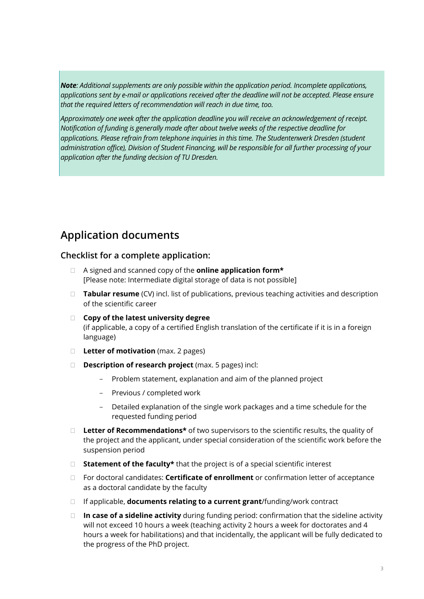*Note: Additional supplements are only possible within the application period. Incomplete applications,*  applications sent by e-mail or applications received after the deadline will not be accepted. Please ensure *that the required letters of recommendation will reach in due time, too.*

*Approximately one week after the application deadline you will receive an acknowledgement of receipt. Notification of funding is generally made after about twelve weeks of the respective deadline for applications. Please refrain from telephone inquiries in this time. The Studentenwerk Dresden (student administration office), Division of Student Financing, will be responsible for all further processing of your application after the funding decision of TU Dresden.*

## **Application documents**

### **Checklist for a complete application:**

- A signed and scanned copy of the **online application form\*** [Please note: Intermediate digital storage of data is not possible]
- **Tabular resume** (CV) incl. list of publications, previous teaching activities and description of the scientific career
- **Copy of the latest university degree**  (if applicable, a copy of a certified English translation of the certificate if it is in a foreign language)
- **Letter of motivation** (max. 2 pages)
- **Description of research project** (max. 5 pages) incl:
	- Problem statement, explanation and aim of the planned project
	- Previous / completed work
	- Detailed explanation of the single work packages and a time schedule for the requested funding period
- **Letter of Recommendations\*** of two supervisors to the scientific results, the quality of the project and the applicant, under special consideration of the scientific work before the suspension period
- □ **Statement of the faculty\*** that the project is of a special scientific interest
- For doctoral candidates: **Certificate of enrollment** or confirmation letter of acceptance as a doctoral candidate by the faculty
- If applicable, **documents relating to a current grant**/funding/work contract
- **In case of a sideline activity** during funding period: confirmation that the sideline activity will not exceed 10 hours a week (teaching activity 2 hours a week for doctorates and 4 hours a week for habilitations) and that incidentally, the applicant will be fully dedicated to the progress of the PhD project.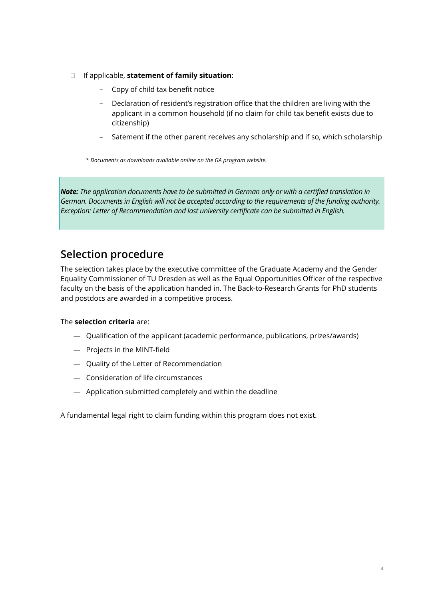- If applicable, **statement of family situation**:
	- Copy of child tax benefit notice
	- Declaration of resident's registration office that the children are living with the applicant in a common household (if no claim for child tax benefit exists due to citizenship)
	- Satement if the other parent receives any scholarship and if so, which scholarship

*\* Documents as downloads available online on the GA program website.*

*Note: The application documents have to be submitted in German only or with a certified translation in German. Documents in English will not be accepted according to the requirements of the funding authority. Exception: Letter of Recommendation and last university certificate can be submitted in English.*

## **Selection procedure**

The selection takes place by the executive committee of the Graduate Academy and the Gender Equality Commissioner of TU Dresden as well as the Equal Opportunities Officer of the respective faculty on the basis of the application handed in. The Back-to-Research Grants for PhD students and postdocs are awarded in a competitive process.

### The **selection criteria** are:

- Qualification of the applicant (academic performance, publications, prizes/awards)
- Projects in the MINT-field
- Quality of the Letter of Recommendation
- Consideration of life circumstances
- Application submitted completely and within the deadline

A fundamental legal right to claim funding within this program does not exist.